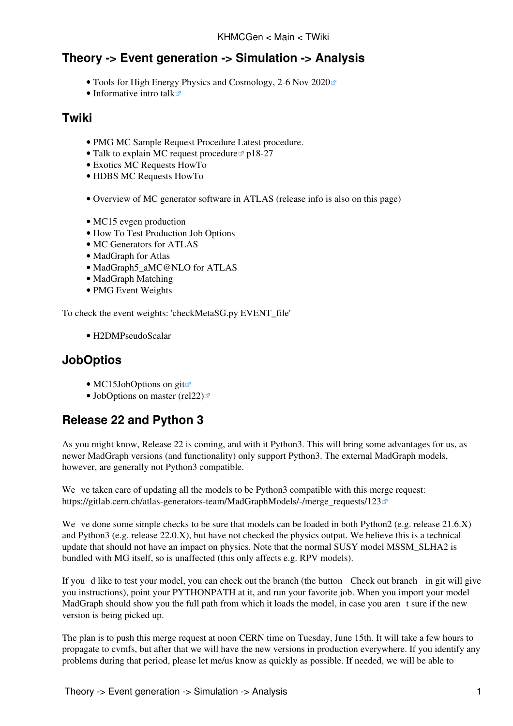# **Theory -> Event generation -> Simulation -> Analysis**

- [Tools for High Energy Physics and Cosmology, 2-6 Nov 2020](https://indico.cern.ch/event/955391/timetable/?view=standard)
- [Informative intro talk](https://indico.cern.ch/event/955391/contributions/4075159/attachments/2134461/3595089/CArina_review.pdf) $\Phi$

#### **Twiki**

- [PMG MC Sample Request Procedure](https://twiki.cern.ch/twiki/bin/viewauth/AtlasProtected/McSampleRequestProcedure) Latest procedure.
- [Talk to explain MC request procedure](https://indico.cern.ch/event/801517/contributions/3503579/attachments/1914587/3164790/mc_technical.pdf)  $p$  p18-27
- [Exotics MC Requests HowTo](https://twiki.cern.ch/twiki/bin/view/AtlasProtected/ExoticsMCRequestsHowTo)
- [HDBS MC Requests HowTo](https://twiki.cern.ch/twiki/bin/viewauth/AtlasProtected/HDBSMCRequestsHowTo)
- [Overview of MC generator software in ATLAS](https://twiki.cern.ch/twiki/bin/viewauth/AtlasProtected/PmgMcSoftware) (release info is also on this page)
- [MC15 evgen production](https://twiki.cern.ch/twiki/bin/view/AtlasProtected/AtlasMcProductionMC15)
- [How To Test Production Job Options](https://twiki.cern.ch/twiki/bin/viewauth/AtlasProtected/HowToTestProdJobs)
- [MC Generators for ATLAS](https://twiki.cern.ch/twiki/bin/view/AtlasProtected/McGeneratorsForAtlas)
- [MadGraph for Atlas](https://twiki.cern.ch/twiki/bin/view/AtlasProtected/MadGraphForAtlas)
- [MadGraph5\\_aMC@NLO for ATLAS](https://twiki.cern.ch/twiki/bin/view/AtlasProtected/MadGraph5aMCatNLOForAtlas)
- [MadGraph Matching](https://twiki.cern.ch/twiki/bin/view/AtlasProtected/MadGraphMatching)
- [PMG Event Weights](https://twiki.cern.ch/twiki/bin/view/AtlasProtected/PmgEventWeights)

To check the event weights: 'checkMetaSG.py EVENT\_file'

• [H2DMPseudoScalar](https://twiki.cern.ch/twiki/bin/view/AtlasProtected/H2DMPseudoScalar)

### **JobOptios**

- [MC15JobOptions on git](https://gitlab.cern.ch/atlas-physics/pmg/infrastructure/mc15joboptions)<sup>®</sup>
- [JobOptions on master \(rel22\)](https://gitlab.cern.ch/atlas-physics/pmg/mcjoboptions/-/tree/master) $\Phi$

# **Release 22 and Python 3**

As you might know, Release 22 is coming, and with it Python3. This will bring some advantages for us, as newer MadGraph versions (and functionality) only support Python3. The external MadGraph models, however, are generally not Python3 compatible.

We ve taken care of updating all the models to be Python3 compatible with this merge request: [https://gitlab.cern.ch/atlas-generators-team/MadGraphModels/-/merge\\_requests/123](https://gitlab.cern.ch/atlas-generators-team/MadGraphModels/-/merge_requests/123)<sup>7</sup>

We ve done some simple checks to be sure that models can be loaded in both Python2 (e.g. release  $21.6.X$ ) and Python3 (e.g. release 22.0.X), but have not checked the physics output. We believe this is a technical update that should not have an impact on physics. Note that the normal SUSY model MSSM\_SLHA2 is bundled with MG itself, so is unaffected (this only affects e.g. RPV models).

If youd like to test your model, you can check out the branch (the button Check out branch in git will give you instructions), point your PYTHONPATH at it, and run your favorite job. When you import your model MadGraph should show you the full path from which it loads the model, in case you arent sure if the new version is being picked up.

The plan is to push this merge request at noon CERN time on Tuesday, June 15th. It will take a few hours to propagate to cvmfs, but after that we will have the new versions in production everywhere. If you identify any problems during that period, please let me/us know as quickly as possible. If needed, we will be able to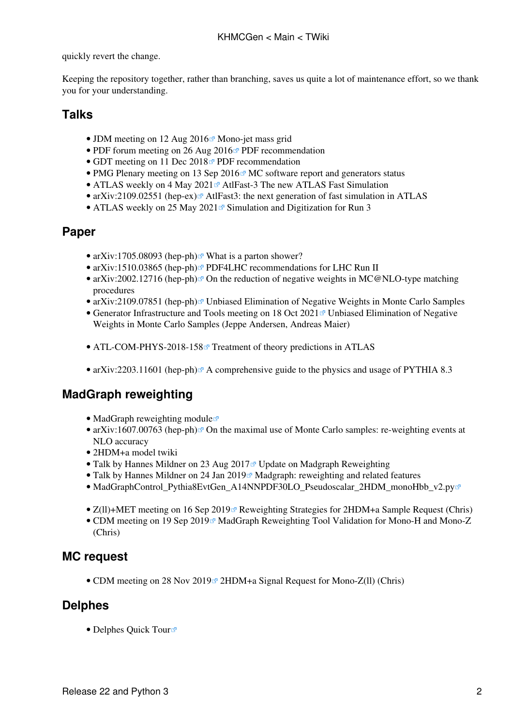quickly revert the change.

Keeping the repository together, rather than branching, saves us quite a lot of maintenance effort, so we thank you for your understanding.

### **Talks**

- JDM meeting on 12 Aug  $2016 \times M$ ono-jet mass grid
- [PDF forum meeting on 26 Aug 2016](https://indico.cern.ch/event/507485/contributions/2019656/attachments/1242012/1827030/pdfsim316.pdf) $\blacktriangledown$  PDF recommendation
- GDT meeting on 11 Dec 2018<sup> $\sigma$ </sup> PDF recommendation
- [PMG Plenary meeting on 13 Sep 2016](https://indico.cern.ch/event/569006/contributions/2300355/attachments/1336041/2009622/mc_soft2015.pdf) $\textdegree$  MC software report and generators status
- ATLAS weekly on 4 May 2021 $\mathbb{F}$  AtlFast-3 The new ATLAS Fast Simulation
- [arXiv:2109.02551 \(hep-ex\)](https://arxiv.org/abs/2109.02551)  $\mathbb{R}$  AtlFast3: the next generation of fast simulation in ATLAS
- [ATLAS weekly on 25 May 2021](https://indico.cern.ch/event/1040694/contributions/4378533/attachments/2250949/3818359/SimulationForRun3_weekly_20210525.pdf)<sup> $\alpha$ </sup> Simulation and Digitization for Run 3

#### **Paper**

- [arXiv:1705.08093 \(hep-ph\)](https://arxiv.org/abs/1705.08093) $\leq$  What is a parton shower?
- [arXiv:1510.03865 \(hep-ph\)](https://arxiv.org/abs/1510.03865)<sup>R</sup> PDF4LHC recommendations for LHC Run II
- [arXiv:2002.12716 \(hep-ph\)](https://arxiv.org/abs/2002.12716)<sup>®</sup> On the reduction of negative weights in MC@NLO-type matching procedures
- [arXiv:2109.07851 \(hep-ph\)](https://arxiv.org/abs/2109.07851) $\mathbb{F}$  Unbiased Elimination of Negative Weights in Monte Carlo Samples
- Generator Infrastructure and Tools meeting on 18 Oct 2021<sup>®</sup> Unbiased Elimination of Negative Weights in Monte Carlo Samples (Jeppe Andersen, Andreas Maier)
- [ATL-COM-PHYS-2018-158](https://cds.cern.ch/record/2305435?)<sup>®</sup> Treatment of theory predictions in ATLAS
- [arXiv:2203.11601 \(hep-ph\)](https://arxiv.org/abs/2203.11601) $\mathbb{P}^n$  A comprehensive guide to the physics and usage of PYTHIA 8.3

### **MadGraph reweighting**

- [MadGraph reweighting module](https://cp3.irmp.ucl.ac.be/projects/madgraph/wiki/Reweight)  $\Phi$
- [arXiv:1607.00763 \(hep-ph\)](https://arxiv.org/abs/1607.00763) $\mathbb{F}$  On the maximal use of Monte Carlo samples: re-weighting events at NLO accuracy
- [2HDM+a model twiki](https://twiki.cern.ch/twiki/bin/viewauth/AtlasProtected/ExtendedHiggsRun2)
- [Talk by Hannes Mildner on 23 Aug 2017](https://indico.cern.ch/event/660744/contributions/2696154/attachments/1511782/2357818/hmildner_gdtmeeting_230817.pdf)<sup>a</sup> Update on Madgraph Reweighting
- Talk by Hannes Mildner on 24 Jan 2019<sup> $\alpha$ </sup> Madgraph: reweighting and related features
- [MadGraphControl\\_Pythia8EvtGen\\_A14NNPDF30LO\\_Pseudoscalar\\_2HDM\\_monoHbb\\_v2.py](https://svnweb.cern.ch/trac/atlasoff/browser/Generators/MC15JobOptions/trunk/common/MadGraph/MadGraphControl_Pythia8EvtGen_A14NNPDF30LO_Pseudoscalar_2HDM_monoHbb_v2.py)
- Z(ll)+MET meeting on 16 Sep 2019<sup>®</sup> Reweighting Strategies for 2HDM+a Sample Request (Chris)
- [CDM meeting on 19 Sep 2019](https://indico.cern.ch/event/844572/contributions/3567224/attachments/1911517/3158761/MGReweightValidation.pdf)<sup>®</sup> MadGraph Reweighting Tool Validation for Mono-H and Mono-Z (Chris)

### **MC request**

• CDM meeting on 28 Nov 2019<sup>®</sup> 2HDM+a Signal Request for Mono-Z(ll) (Chris)

### **Delphes**

• [Delphes Quick Tour](https://cp3.irmp.ucl.ac.be/projects/delphes/wiki/WorkBook/QuickTour)